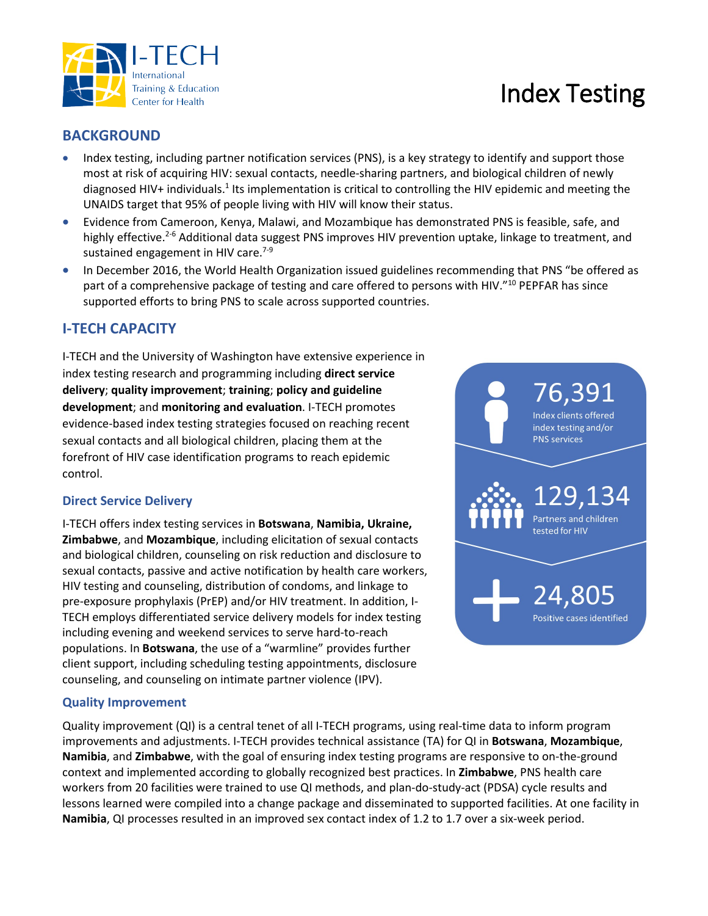

# **BACKGROUND**

Training & Education Center for Health

- Index testing, including partner notification services (PNS), is a key strategy to identify and support those most at risk of acquiring HIV: sexual contacts, needle-sharing partners, and biological children of newly diagnosed HIV+ individuals.<sup>1</sup> Its implementation is critical to controlling the HIV epidemic and meeting the UNAIDS target that 95% of people living with HIV will know their status.
- Evidence from Cameroon, Kenya, Malawi, and Mozambique has demonstrated PNS is feasible, safe, and highly effective.<sup>2-6</sup> Additional data suggest PNS improves HIV prevention uptake, linkage to treatment, and sustained engagement in HIV care. $7-9$
- In December 2016, the World Health Organization issued guidelines recommending that PNS "be offered as part of a comprehensive package of testing and care offered to persons with HIV."<sup>10</sup> PEPFAR has since supported efforts to bring PNS to scale across supported countries.

# **I-TECH CAPACITY**

I-TECH and the University of Washington have extensive experience in index testing research and programming including **direct service delivery**; **quality improvement**; **training**; **policy and guideline development**; and **monitoring and evaluation**. I-TECH promotes evidence-based index testing strategies focused on reaching recent sexual contacts and all biological children, placing them at the forefront of HIV case identification programs to reach epidemic control.

## **Direct Service Delivery**

I-TECH offers index testing services in **Botswana**, **Namibia, Ukraine, Zimbabwe**, and **Mozambique**, including elicitation of sexual contacts and biological children, counseling on risk reduction and disclosure to sexual contacts, passive and active notification by health care workers, HIV testing and counseling, distribution of condoms, and linkage to pre-exposure prophylaxis (PrEP) and/or HIV treatment. In addition, I-TECH employs differentiated service delivery models for index testing including evening and weekend services to serve hard-to-reach populations. In **Botswana**, the use of a "warmline" provides further client support, including scheduling testing appointments, disclosure counseling, and counseling on intimate partner violence (IPV).

# 6,391 Index clients offered index testing and/or **PNS services** 129,134 Partners and children tested for HIV 24,805 Positive cases identified

## **Quality Improvement**

Quality improvement (QI) is a central tenet of all I-TECH programs, using real-time data to inform program improvements and adjustments. I-TECH provides technical assistance (TA) for QI in **Botswana**, **Mozambique**, **Namibia**, and **Zimbabwe**, with the goal of ensuring index testing programs are responsive to on-the-ground context and implemented according to globally recognized best practices. In **Zimbabwe**, PNS health care workers from 20 facilities were trained to use QI methods, and plan-do-study-act (PDSA) cycle results and lessons learned were compiled into a change package and disseminated to supported facilities. At one facility in **Namibia**, QI processes resulted in an improved sex contact index of 1.2 to 1.7 over a six-week period.